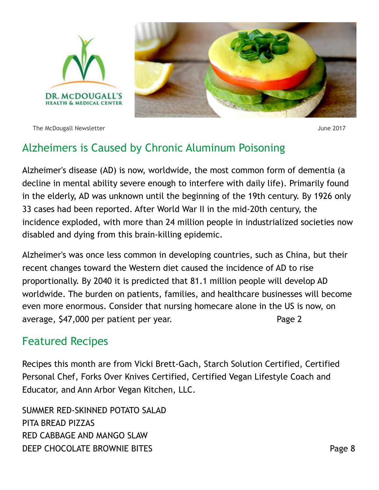

The McDougall Newsletter  $\blacksquare$ 



# Alzheimers is Caused by Chronic Aluminum Poisoning

Alzheimer's disease (AD) is now, worldwide, the most common form of dementia (a decline in mental ability severe enough to interfere with daily life). Primarily found in the elderly, AD was unknown until the beginning of the 19th century. By 1926 only 33 cases had been reported. After World War II in the mid-20th century, the incidence exploded, with more than 24 million people in industrialized societies now disabled and dying from this brain-killing epidemic.

Alzheimer's was once less common in developing countries, such as China, but their recent changes toward the Western diet caused the incidence of AD to rise proportionally. By 2040 it is predicted that 81.1 million people will develop AD worldwide. The burden on patients, families, and healthcare businesses will become even more enormous. Consider that nursing homecare alone in the US is now, on average, \$47,000 per patient per year. The manner of the Page 2

# Featured Recipes

Recipes this month are from Vicki Brett-Gach, Starch Solution Certified, Certified Personal Chef, Forks Over Knives Certified, Certified Vegan Lifestyle Coach and Educator, and Ann Arbor Vegan Kitchen, LLC.

SUMMER RED-SKINNED POTATO SALAD PITA BREAD PIZZAS RED CABBAGE AND MANGO SLAW DEEP CHOCOLATE BROWNIE BITES **Example 20 and 20 and 20 and 20 and 20 and 20 and 20 and 20 and 20 and 20 and 20 and 20 and 20 and 20 and 20 and 20 and 20 and 20 and 20 and 20 and 20 and 20 and 20 and 20 and 20 and 20 and 20**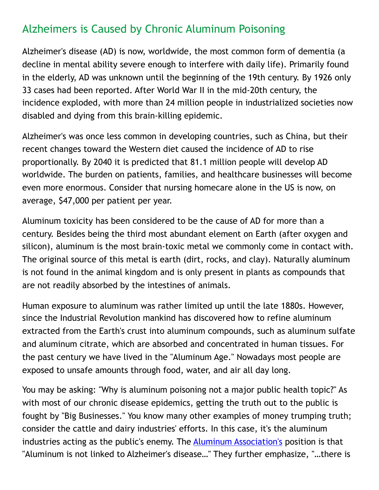# Alzheimers is Caused by Chronic Aluminum Poisoning

Alzheimer's disease (AD) is now, worldwide, the most common form of dementia (a decline in mental ability severe enough to interfere with daily life). Primarily found in the elderly, AD was unknown until the beginning of the 19th century. By 1926 only 33 cases had been reported. After World War II in the mid-20th century, the incidence exploded, with more than 24 million people in industrialized societies now disabled and dying from this brain-killing epidemic.

Alzheimer's was once less common in developing countries, such as China, but their recent changes toward the Western diet caused the incidence of AD to rise proportionally. By 2040 it is predicted that 81.1 million people will develop AD worldwide. The burden on patients, families, and healthcare businesses will become even more enormous. Consider that nursing homecare alone in the US is now, on average, \$47,000 per patient per year.

Aluminum toxicity has been considered to be the cause of AD for more than a century. Besides being the third most abundant element on Earth (after oxygen and silicon), aluminum is the most brain-toxic metal we commonly come in contact with. The original source of this metal is earth (dirt, rocks, and clay). Naturally aluminum is not found in the animal kingdom and is only present in plants as compounds that are not readily absorbed by the intestines of animals.

Human exposure to aluminum was rather limited up until the late 1880s. However, since the Industrial Revolution mankind has discovered how to refine aluminum extracted from the Earth's crust into aluminum compounds, such as aluminum sulfate and aluminum citrate, which are absorbed and concentrated in human tissues. For the past century we have lived in the "Aluminum Age." Nowadays most people are exposed to unsafe amounts through food, water, and air all day long.

You may be asking: "Why is aluminum poisoning not a major public health topic?" As with most of our chronic disease epidemics, getting the truth out to the public is fought by "Big Businesses." You know many other examples of money trumping truth; consider the cattle and dairy industries' efforts. In this case, it's the aluminum industries acting as the public's enemy. The [Aluminum Association's](http://www.aluminum.org/resources/electrical-faqs-and-handbooks/health) position is that "Aluminum is not linked to Alzheimer's disease…" They further emphasize, "…there is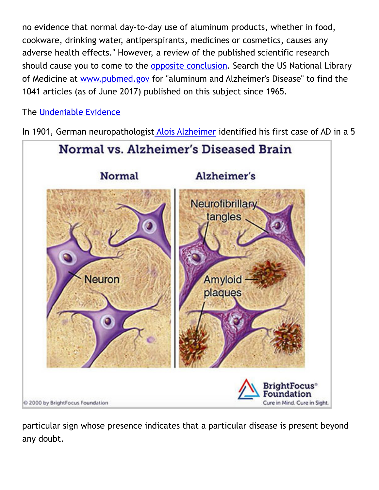no evidence that normal day-to-day use of aluminum products, whether in food, cookware, drinking water, antiperspirants, medicines or cosmetics, causes any adverse health effects." However, a review of the published scientific research should cause you to come to the [opposite conclusion](https://www.researchgate.net/publication/49682395_Aluminum_and_Alzheimer%27s_Disease_After_a_Century_of_Controversy_Is_there_a_Plausible_Link). Search the US National Library of Medicine at [www.pubmed.gov](https://www.pubmed.gov/) for "aluminum and Alzheimer's Disease" to find the 1041 articles (as of June 2017) published on this subject since 1965.

The [Undeniable Evidence](https://www.ncbi.nlm.nih.gov/pubmed/24577474)

In 1901, German neuropathologist [Alois Alzheimer](https://www.ncbi.nlm.nih.gov/pmc/articles/PMC3181715/pdf/DialoguesClinNeurosci-5-101.pdf) identified his first case of AD in a 5



particular sign whose presence indicates that a particular disease is present beyond any doubt.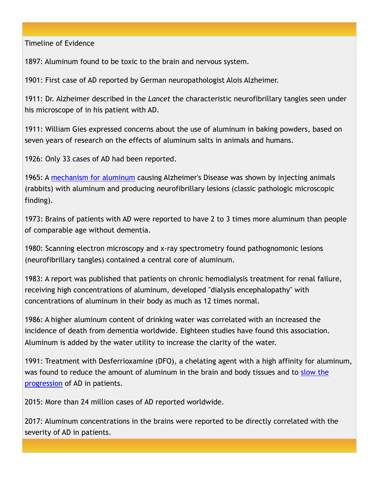Timeline of Evidence

1897: Aluminum found to be toxic to the brain and nervous system.

1901: First case of AD reported by German neuropathologist Alois Alzheimer.

1911: Dr. Alzheimer described in the *Lancet* the characteristic neurofibrillary tangles seen under his microscope of in his patient with AD.

1911: William Gies expressed concerns about the use of aluminum in baking powders, based on seven years of research on the effects of aluminum salts in animals and humans.

1926: Only 33 cases of AD had been reported.

1965: A [mechanism for aluminum](https://www.ncbi.nlm.nih.gov/pubmed/8574016) causing Alzheimer's Disease was shown by injecting animals (rabbits) with aluminum and producing neurofibrillary lesions (classic pathologic microscopic finding).

1973: Brains of patients with AD were reported to have 2 to 3 times more aluminum than people of comparable age without dementia.

1980: Scanning electron microscopy and x-ray spectrometry found pathognomonic lesions (neurofibrillary tangles) contained a central core of aluminum.

1983: A report was published that patients on chronic hemodialysis treatment for renal failure, receiving high concentrations of aluminum, developed "dialysis encephalopathy" with concentrations of aluminum in their body as much as 12 times normal.

1986: A higher aluminum content of drinking water was correlated with an increased the incidence of death from dementia worldwide. Eighteen studies have found this association. Aluminum is added by the water utility to increase the clarity of the water.

1991: Treatment with Desferrioxamine (DFO), a chelating agent with a high affinity for aluminum, [was found to reduce the amount of aluminum in the brain and body tissues and to slow the](https://www.ncbi.nlm.nih.gov/pubmed/8122302)  progression of AD in patients.

2015: More than 24 million cases of AD reported worldwide.

2017: Aluminum concentrations in the brains were reported to be directly correlated with the severity of AD in patients.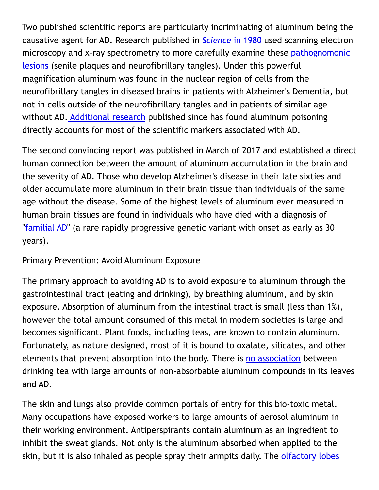Two published scientific reports are particularly incriminating of aluminum being the causative agent for AD. Research published in *Science* [in 1980](https://www.ncbi.nlm.nih.gov/pubmed/7367858) used scanning electron microscopy and x-ray spectrometry to more carefully examine these pathognomonic [lesions](https://www.ncbi.nlm.nih.gov/pubmed/28453491) (senile plaques and neurofibrillary tangles). Under this powerful magnification aluminum was found in the nuclear region of cells from the neurofibrillary tangles in diseased brains in patients with Alzheimer's Dementia, but not in cells outside of the neurofibrillary tangles and in patients of similar age without AD. [Additional research](https://pdfs.semanticscholar.org/08e1/d5459fb6522a3c2a4ab01194901b3b13f4ba.pdf) published since has found aluminum poisoning directly accounts for most of the scientific markers associated with AD.

The second convincing report was published in March of 2017 and established a direct human connection between the amount of aluminum accumulation in the brain and the severity of AD. Those who develop Alzheimer's disease in their late sixties and older accumulate more aluminum in their brain tissue than individuals of the same age without the disease. Some of the highest levels of aluminum ever measured in human brain tissues are found in individuals who have died with a diagnosis of "[familial AD"](https://www.ncbi.nlm.nih.gov/pubmed/28159219) (a rare rapidly progressive genetic variant with onset as early as 30 years).

## Primary Prevention: Avoid Aluminum Exposure

The primary approach to avoiding AD is to avoid exposure to aluminum through the gastrointestinal tract (eating and drinking), by breathing aluminum, and by skin exposure. Absorption of aluminum from the intestinal tract is small (less than 1%), however the total amount consumed of this metal in modern societies is large and becomes significant. Plant foods, including teas, are known to contain aluminum. Fortunately, as nature designed, most of it is bound to oxalate, silicates, and other elements that prevent absorption into the body. There is [no association](https://www.ncbi.nlm.nih.gov/pubmed/17643454) between drinking tea with large amounts of non-absorbable aluminum compounds in its leaves and AD.

The skin and lungs also provide common portals of entry for this bio-toxic metal. Many occupations have exposed workers to large amounts of aerosol aluminum in their working environment. Antiperspirants contain aluminum as an ingredient to inhibit the sweat glands. Not only is the aluminum absorbed when applied to the skin, but it is also inhaled as people spray their armpits daily. The [olfactory lobes](https://www.ncbi.nlm.nih.gov/pubmed/1776763)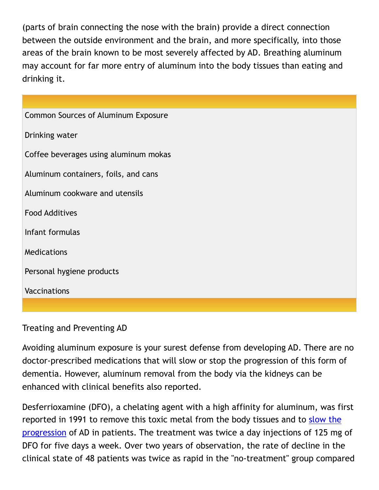(parts of brain connecting the nose with the brain) provide a direct connection between the outside environment and the brain, and more specifically, into those areas of the brain known to be most severely affected by AD. Breathing aluminum may account for far more entry of aluminum into the body tissues than eating and drinking it.

| <b>Common Sources of Aluminum Exposure</b> |
|--------------------------------------------|
| Drinking water                             |
| Coffee beverages using aluminum mokas      |
| Aluminum containers, foils, and cans       |
| Aluminum cookware and utensils             |
| <b>Food Additives</b>                      |
| Infant formulas                            |
| <b>Medications</b>                         |
| Personal hygiene products                  |
| <b>Vaccinations</b>                        |
|                                            |

Treating and Preventing AD

Avoiding aluminum exposure is your surest defense from developing AD. There are no doctor-prescribed medications that will slow or stop the progression of this form of dementia. However, aluminum removal from the body via the kidneys can be enhanced with clinical benefits also reported.

Desferrioxamine (DFO), a chelating agent with a high affinity for aluminum, was first reported in 1991 to remove this toxic metal from the body tissues and to [slow the](https://www.ncbi.nlm.nih.gov/pubmed/8122302)  [progression](https://www.ncbi.nlm.nih.gov/pubmed/8122302) of AD in patients. The treatment was twice a day injections of 125 mg of DFO for five days a week. Over two years of observation, the rate of decline in the clinical state of 48 patients was twice as rapid in the "no-treatment" group compared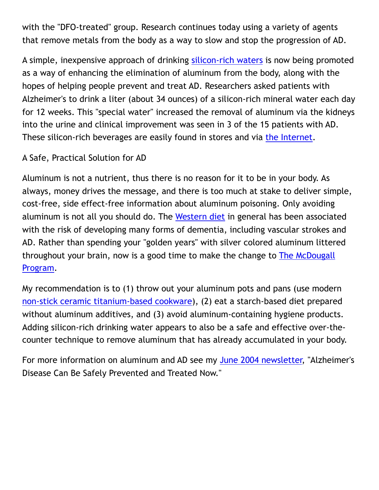with the "DFO-treated" group. Research continues today using a variety of agents that remove metals from the body as a way to slow and stop the progression of AD.

A simple, inexpensive approach of drinking [silicon-rich waters](https://www.ncbi.nlm.nih.gov/pubmed/22976072) is now being promoted as a way of enhancing the elimination of aluminum from the body, along with the hopes of helping people prevent and treat AD. Researchers asked patients with Alzheimer's to drink a liter (about 34 ounces) of a silicon-rich mineral water each day for 12 weeks. This "special water" increased the removal of aluminum via the kidneys into the urine and clinical improvement was seen in 3 of the 15 patients with AD. These silicon-rich beverages are easily found in stores and via [the Internet](http://www.dailymail.co.uk/health/article-4320406/Silicon-rich-mineral-water-new-healthy-have.html).

## A Safe, Practical Solution for AD

Aluminum is not a nutrient, thus there is no reason for it to be in your body. As always, money drives the message, and there is too much at stake to deliver simple, cost-free, side effect-free information about aluminum poisoning. Only avoiding aluminum is not all you should do. The [Western diet](https://www.ncbi.nlm.nih.gov/pmc/articles/PMC3405821/pdf/cshperspectmed-ALZ-a006239.pdf) in general has been associated with the risk of developing many forms of dementia, including vascular strokes and AD. Rather than spending your "golden years" with silver colored aluminum littered throughout your brain, now is a good time to make the change to [The McDougall](https://www.drmcdougall.com/health/education/cpb/)  [Program.](https://www.drmcdougall.com/health/education/cpb/)

My recommendation is to (1) throw out your aluminum pots and pans (use modern [non-stick ceramic titanium-based cookware](http://www.thecookwareadvisor.com/scanpan-fry-pans/)), (2) eat a starch-based diet prepared without aluminum additives, and (3) avoid aluminum-containing hygiene products. Adding silicon-rich drinking water appears to also be a safe and effective over-thecounter technique to remove aluminum that has already accumulated in your body.

For more information on aluminum and AD see my [June 2004 newsletter,](http://www.drmcdougall.com/misc/2004nl/040600pualzheimer.htm) "Alzheimer's Disease Can Be Safely Prevented and Treated Now."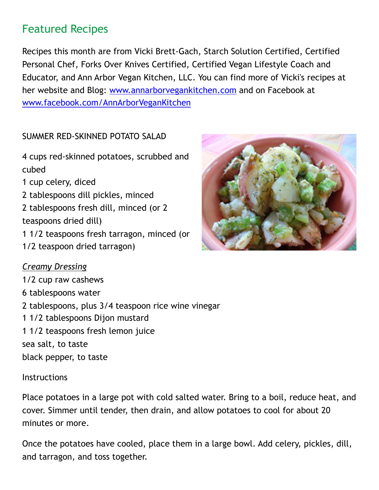# Featured Recipes

Recipes this month are from Vicki Brett-Gach, Starch Solution Certified, Certified Personal Chef, Forks Over Knives Certified, Certified Vegan Lifestyle Coach and Educator, and Ann Arbor Vegan Kitchen, LLC. You can find more of Vicki's recipes at her website and Blog: [www.annarborvegankitchen.com](http://annarborvegankitchen.com/) and on Facebook at [www.facebook.com/AnnArborVeganKitchen](http://www.facebook.com/AnnArborVeganKitchen)

## SUMMER RED-SKINNED POTATO SALAD

4 cups red-skinned potatoes, scrubbed and cubed 1 cup celery, diced

2 tablespoons dill pickles, minced

2 tablespoons fresh dill, minced (or 2 teaspoons dried dill)

1 1/2 teaspoons fresh tarragon, minced (or 1/2 teaspoon dried tarragon)

## *Creamy Dressing*

1/2 cup raw cashews 6 tablespoons water 2 tablespoons, plus 3/4 teaspoon rice wine vinegar 1 1/2 tablespoons Dijon mustard 1 1/2 teaspoons fresh lemon juice sea salt, to taste black pepper, to taste

### **Instructions**

Place potatoes in a large pot with cold salted water. Bring to a boil, reduce heat, and cover. Simmer until tender, then drain, and allow potatoes to cool for about 20 minutes or more.

Once the potatoes have cooled, place them in a large bowl. Add celery, pickles, dill, and tarragon, and toss together.

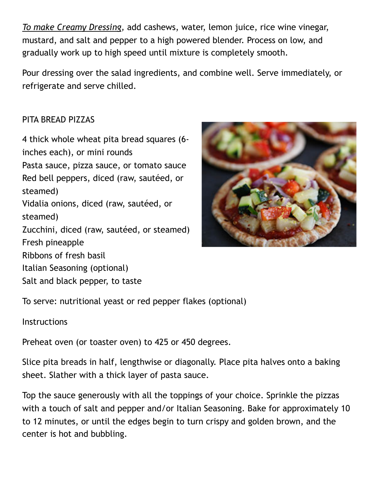*To make Creamy Dressing,* add cashews, water, lemon juice, rice wine vinegar, mustard, and salt and pepper to a high powered blender. Process on low, and gradually work up to high speed until mixture is completely smooth.

Pour dressing over the salad ingredients, and combine well. Serve immediately, or refrigerate and serve chilled.

## PITA BREAD PIZZAS

4 thick whole wheat pita bread squares (6 inches each), or mini rounds Pasta sauce, pizza sauce, or tomato sauce Red bell peppers, diced (raw, sautéed, or steamed) Vidalia onions, diced (raw, sautéed, or steamed) Zucchini, diced (raw, sautéed, or steamed) Fresh pineapple Ribbons of fresh basil Italian Seasoning (optional) Salt and black pepper, to taste



To serve: nutritional yeast or red pepper flakes (optional)

### **Instructions**

Preheat oven (or toaster oven) to 425 or 450 degrees.

Slice pita breads in half, lengthwise or diagonally. Place pita halves onto a baking sheet. Slather with a thick layer of pasta sauce.

Top the sauce generously with all the toppings of your choice. Sprinkle the pizzas with a touch of salt and pepper and/or Italian Seasoning. Bake for approximately 10 to 12 minutes, or until the edges begin to turn crispy and golden brown, and the center is hot and bubbling.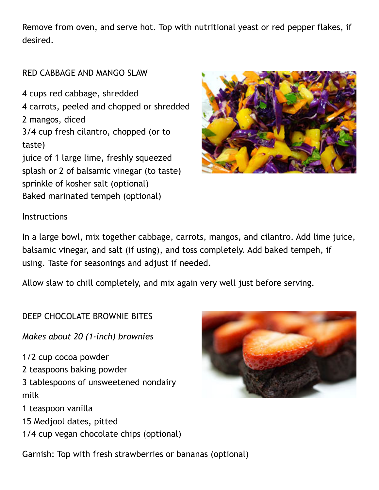Remove from oven, and serve hot. Top with nutritional yeast or red pepper flakes, if desired.

### RED CABBAGE AND MANGO SLAW

4 cups red cabbage, shredded 4 carrots, peeled and chopped or shredded 2 mangos, diced 3/4 cup fresh cilantro, chopped (or to taste) juice of 1 large lime, freshly squeezed splash or 2 of balsamic vinegar (to taste) sprinkle of kosher salt (optional) Baked marinated tempeh (optional)



#### **Instructions**

In a large bowl, mix together cabbage, carrots, mangos, and cilantro. Add lime juice, balsamic vinegar, and salt (if using), and toss completely. Add baked tempeh, if using. Taste for seasonings and adjust if needed.

Allow slaw to chill completely, and mix again very well just before serving.

DEEP CHOCOLATE BROWNIE BITES

*Makes about 20 (1-inch) brownies*

1/2 cup cocoa powder 2 teaspoons baking powder 3 tablespoons of unsweetened nondairy milk

1 teaspoon vanilla

- 15 Medjool dates, pitted
- 1/4 cup vegan chocolate chips (optional)